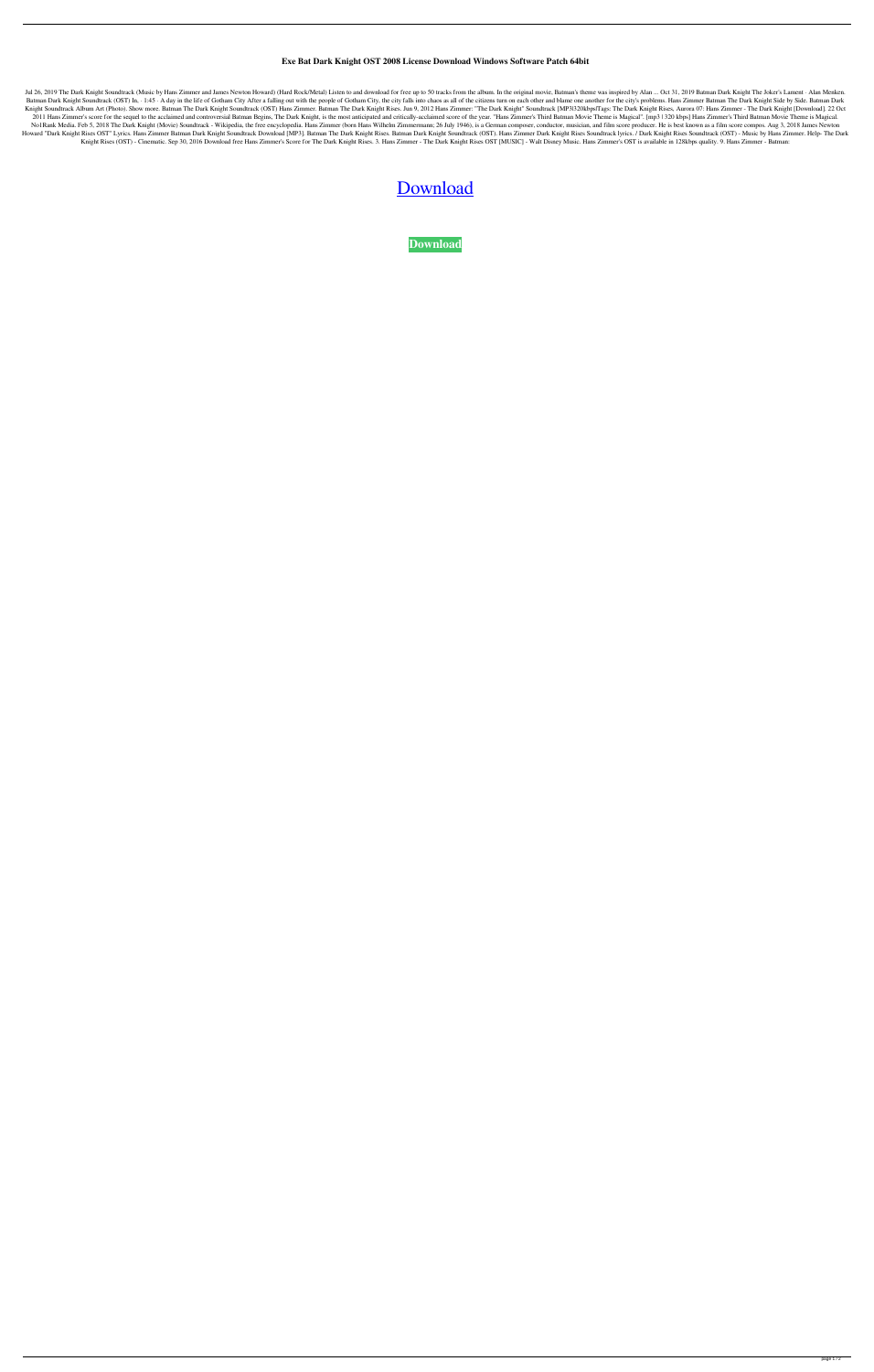## **Exe Bat Dark Knight OST 2008 License Download Windows Software Patch 64bit**

Jul 26, 2019 The Dark Knight Soundtrack (Music by Hans Zimmer and James Newton Howard) (Hard Rock/Metal) Listen to and download for free up to 50 tracks from the album. In the original movie, Batman's theme was inspired by Batman Dark Knight Soundtrack (OST) In, · 1:45 · A day in the life of Gotham City After a falling out with the people of Gotham City, the city falls into chaos as all of the citizens turn on each other and blame one anothe Knight Soundtrack Album Art (Photo). Show more. Batman The Dark Knight Soundtrack (OST) Hans Zimmer. Batman The Dark Knight Rises. Jun 9, 2012 Hans Zimmer: "The Dark Knight" Soundtrack [MP3|320kbps|Tags: The Dark Knight Ri 2011 Hans Zimmer's score for the sequel to the acclaimed and controversial Batman Begins, The Dark Knight, is the most anticipated and critically-acclaimed score of the year. "Hans Zimmer's Third Batman Movie Theme is Magi No1Rank Media. Feb 5, 2018 The Dark Knight (Movie) Soundtrack - Wikipedia, the free encyclopedia. Hans Zimmer (born Hans Wilhelm Zimmermann; 26 July 1946), is a German composer, conductor, musician, and film score producer Howard "Dark Knight Rises OST" Lyrics. Hans Zimmer Batman Dark Knight Soundtrack Download [MP3]. Batman The Dark Knight Rises. Batman Dark Knight Soundtrack (OST). Hans Zimmer Dark Knight Rises Soundtrack lyrics. / Dark Kn Knight Rises (OST) - Cinematic. Sep 30, 2016 Download free Hans Zimmer's Score for The Dark Knight Rises. 3. Hans Zimmer - The Dark Knight Rises OST [MUSIC] - Walt Disney Music. Hans Zimmer's OST is available in 128kbps qu

## [Download](http://evacdir.com/karmax.laundromat/searcy.QmF0bWFuIERhcmsgS25pZ2h0IE9TVCAyMDA4IDMyMEticHMQmF/multifides.salvageable/vitiate.ZG93bmxvYWR8SHQyTVhScGNueDhNVFkxTWpjME1EZzJObng4TWpVM05IeDhLRTBwSUhKbFlXUXRZbXh2WnlCYlJtRnpkQ0JIUlU1ZA/.disappearing)

**[Download](http://evacdir.com/karmax.laundromat/searcy.QmF0bWFuIERhcmsgS25pZ2h0IE9TVCAyMDA4IDMyMEticHMQmF/multifides.salvageable/vitiate.ZG93bmxvYWR8SHQyTVhScGNueDhNVFkxTWpjME1EZzJObng4TWpVM05IeDhLRTBwSUhKbFlXUXRZbXh2WnlCYlJtRnpkQ0JIUlU1ZA/.disappearing)**